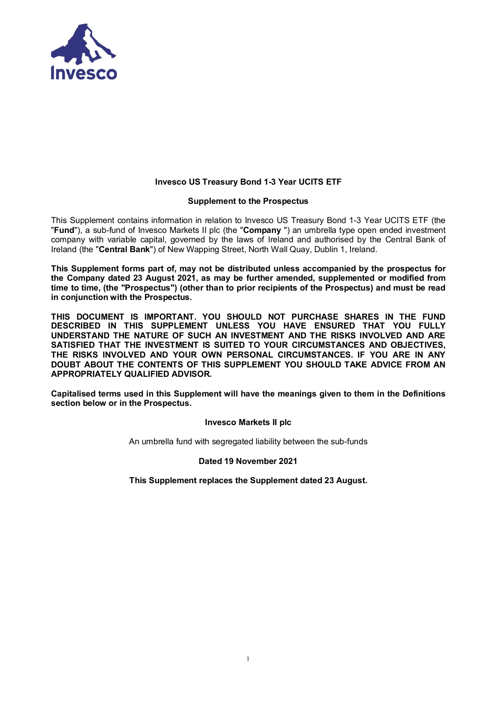

# **Invesco US Treasury Bond 1-3 Year UCITS ETF**

#### **Supplement to the Prospectus**

This Supplement contains information in relation to Invesco US Treasury Bond 1-3 Year UCITS ETF (the "**Fund**"), a sub-fund of Invesco Markets II plc (the "**Company** ") an umbrella type open ended investment company with variable capital, governed by the laws of Ireland and authorised by the Central Bank of Ireland (the "**Central Bank**") of New Wapping Street, North Wall Quay, Dublin 1, Ireland.

**This Supplement forms part of, may not be distributed unless accompanied by the prospectus for the Company dated 23 August 2021, as may be further amended, supplemented or modified from time to time, (the "Prospectus") (other than to prior recipients of the Prospectus) and must be read in conjunction with the Prospectus.**

**THIS DOCUMENT IS IMPORTANT. YOU SHOULD NOT PURCHASE SHARES IN THE FUND DESCRIBED IN THIS SUPPLEMENT UNLESS YOU HAVE ENSURED THAT YOU FULLY UNDERSTAND THE NATURE OF SUCH AN INVESTMENT AND THE RISKS INVOLVED AND ARE SATISFIED THAT THE INVESTMENT IS SUITED TO YOUR CIRCUMSTANCES AND OBJECTIVES, THE RISKS INVOLVED AND YOUR OWN PERSONAL CIRCUMSTANCES. IF YOU ARE IN ANY DOUBT ABOUT THE CONTENTS OF THIS SUPPLEMENT YOU SHOULD TAKE ADVICE FROM AN APPROPRIATELY QUALIFIED ADVISOR.** 

**Capitalised terms used in this Supplement will have the meanings given to them in the Definitions section below or in the Prospectus.** 

#### **Invesco Markets II plc**

An umbrella fund with segregated liability between the sub-funds

# **Dated 19 November 2021**

**This Supplement replaces the Supplement dated 23 August.**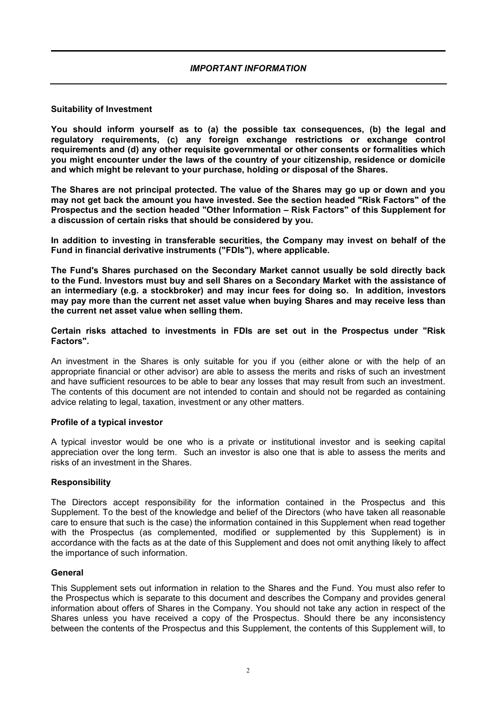# **Suitability of Investment**

**You should inform yourself as to (a) the possible tax consequences, (b) the legal and regulatory requirements, (c) any foreign exchange restrictions or exchange control requirements and (d) any other requisite governmental or other consents or formalities which you might encounter under the laws of the country of your citizenship, residence or domicile and which might be relevant to your purchase, holding or disposal of the Shares.**

**The Shares are not principal protected. The value of the Shares may go up or down and you may not get back the amount you have invested. See the section headed "Risk Factors" of the Prospectus and the section headed "Other Information – Risk Factors" of this Supplement for a discussion of certain risks that should be considered by you.** 

**In addition to investing in transferable securities, the Company may invest on behalf of the Fund in financial derivative instruments ("FDIs"), where applicable.**

**The Fund's Shares purchased on the Secondary Market cannot usually be sold directly back to the Fund. Investors must buy and sell Shares on a Secondary Market with the assistance of an intermediary (e.g. a stockbroker) and may incur fees for doing so. In addition, investors may pay more than the current net asset value when buying Shares and may receive less than the current net asset value when selling them.**

**Certain risks attached to investments in FDIs are set out in the Prospectus under "Risk Factors".**

An investment in the Shares is only suitable for you if you (either alone or with the help of an appropriate financial or other advisor) are able to assess the merits and risks of such an investment and have sufficient resources to be able to bear any losses that may result from such an investment. The contents of this document are not intended to contain and should not be regarded as containing advice relating to legal, taxation, investment or any other matters.

# **Profile of a typical investor**

A typical investor would be one who is a private or institutional investor and is seeking capital appreciation over the long term. Such an investor is also one that is able to assess the merits and risks of an investment in the Shares.

# **Responsibility**

The Directors accept responsibility for the information contained in the Prospectus and this Supplement. To the best of the knowledge and belief of the Directors (who have taken all reasonable care to ensure that such is the case) the information contained in this Supplement when read together with the Prospectus (as complemented, modified or supplemented by this Supplement) is in accordance with the facts as at the date of this Supplement and does not omit anything likely to affect the importance of such information.

# **General**

This Supplement sets out information in relation to the Shares and the Fund. You must also refer to the Prospectus which is separate to this document and describes the Company and provides general information about offers of Shares in the Company. You should not take any action in respect of the Shares unless you have received a copy of the Prospectus. Should there be any inconsistency between the contents of the Prospectus and this Supplement, the contents of this Supplement will, to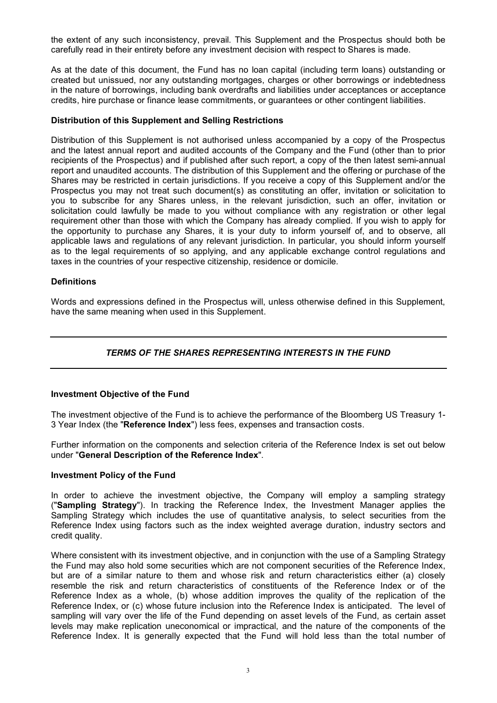the extent of any such inconsistency, prevail. This Supplement and the Prospectus should both be carefully read in their entirety before any investment decision with respect to Shares is made.

As at the date of this document, the Fund has no loan capital (including term loans) outstanding or created but unissued, nor any outstanding mortgages, charges or other borrowings or indebtedness in the nature of borrowings, including bank overdrafts and liabilities under acceptances or acceptance credits, hire purchase or finance lease commitments, or guarantees or other contingent liabilities.

#### **Distribution of this Supplement and Selling Restrictions**

Distribution of this Supplement is not authorised unless accompanied by a copy of the Prospectus and the latest annual report and audited accounts of the Company and the Fund (other than to prior recipients of the Prospectus) and if published after such report, a copy of the then latest semi-annual report and unaudited accounts. The distribution of this Supplement and the offering or purchase of the Shares may be restricted in certain jurisdictions. If you receive a copy of this Supplement and/or the Prospectus you may not treat such document(s) as constituting an offer, invitation or solicitation to you to subscribe for any Shares unless, in the relevant jurisdiction, such an offer, invitation or solicitation could lawfully be made to you without compliance with any registration or other legal requirement other than those with which the Company has already complied. If you wish to apply for the opportunity to purchase any Shares, it is your duty to inform yourself of, and to observe, all applicable laws and regulations of any relevant jurisdiction. In particular, you should inform yourself as to the legal requirements of so applying, and any applicable exchange control regulations and taxes in the countries of your respective citizenship, residence or domicile.

#### **Definitions**

Words and expressions defined in the Prospectus will, unless otherwise defined in this Supplement, have the same meaning when used in this Supplement.

# *TERMS OF THE SHARES REPRESENTING INTERESTS IN THE FUND*

# **Investment Objective of the Fund**

The investment objective of the Fund is to achieve the performance of the Bloomberg US Treasury 1- 3 Year Index (the "**Reference Index**") less fees, expenses and transaction costs.

Further information on the components and selection criteria of the Reference Index is set out below under "**General Description of the Reference Index**".

#### **Investment Policy of the Fund**

In order to achieve the investment objective, the Company will employ a sampling strategy ("**Sampling Strategy**"). In tracking the Reference Index, the Investment Manager applies the Sampling Strategy which includes the use of quantitative analysis, to select securities from the Reference Index using factors such as the index weighted average duration, industry sectors and credit quality.

Where consistent with its investment objective, and in conjunction with the use of a Sampling Strategy the Fund may also hold some securities which are not component securities of the Reference Index, but are of a similar nature to them and whose risk and return characteristics either (a) closely resemble the risk and return characteristics of constituents of the Reference Index or of the Reference Index as a whole, (b) whose addition improves the quality of the replication of the Reference Index, or (c) whose future inclusion into the Reference Index is anticipated. The level of sampling will vary over the life of the Fund depending on asset levels of the Fund, as certain asset levels may make replication uneconomical or impractical, and the nature of the components of the Reference Index. It is generally expected that the Fund will hold less than the total number of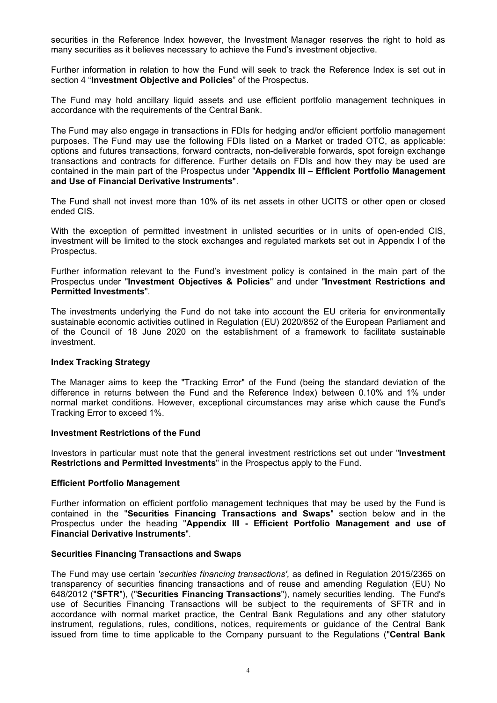securities in the Reference Index however, the Investment Manager reserves the right to hold as many securities as it believes necessary to achieve the Fund's investment objective.

Further information in relation to how the Fund will seek to track the Reference Index is set out in section 4 "**Investment Objective and Policies**" of the Prospectus.

The Fund may hold ancillary liquid assets and use efficient portfolio management techniques in accordance with the requirements of the Central Bank.

The Fund may also engage in transactions in FDIs for hedging and/or efficient portfolio management purposes. The Fund may use the following FDIs listed on a Market or traded OTC, as applicable: options and futures transactions, forward contracts, non-deliverable forwards, spot foreign exchange transactions and contracts for difference. Further details on FDIs and how they may be used are contained in the main part of the Prospectus under "**Appendix III – Efficient Portfolio Management and Use of Financial Derivative Instruments**".

The Fund shall not invest more than 10% of its net assets in other UCITS or other open or closed ended CIS.

With the exception of permitted investment in unlisted securities or in units of open-ended CIS, investment will be limited to the stock exchanges and regulated markets set out in Appendix I of the Prospectus.

Further information relevant to the Fund's investment policy is contained in the main part of the Prospectus under "**Investment Objectives & Policies**" and under "**Investment Restrictions and Permitted Investments**".

The investments underlying the Fund do not take into account the EU criteria for environmentally sustainable economic activities outlined in Regulation (EU) 2020/852 of the European Parliament and of the Council of 18 June 2020 on the establishment of a framework to facilitate sustainable investment.

# **Index Tracking Strategy**

The Manager aims to keep the "Tracking Error" of the Fund (being the standard deviation of the difference in returns between the Fund and the Reference Index) between 0.10% and 1% under normal market conditions. However, exceptional circumstances may arise which cause the Fund's Tracking Error to exceed 1%.

# **Investment Restrictions of the Fund**

Investors in particular must note that the general investment restrictions set out under "**Investment Restrictions and Permitted Investments**" in the Prospectus apply to the Fund.

# **Efficient Portfolio Management**

Further information on efficient portfolio management techniques that may be used by the Fund is contained in the "**Securities Financing Transactions and Swaps**" section below and in the Prospectus under the heading "**Appendix III - Efficient Portfolio Management and use of Financial Derivative Instruments**".

#### **Securities Financing Transactions and Swaps**

The Fund may use certain *'securities financing transactions',* as defined in Regulation 2015/2365 on transparency of securities financing transactions and of reuse and amending Regulation (EU) No 648/2012 ("**SFTR**"), ("**Securities Financing Transactions**"), namely securities lending. The Fund's use of Securities Financing Transactions will be subject to the requirements of SFTR and in accordance with normal market practice, the Central Bank Regulations and any other statutory instrument, regulations, rules, conditions, notices, requirements or guidance of the Central Bank issued from time to time applicable to the Company pursuant to the Regulations ("**Central Bank**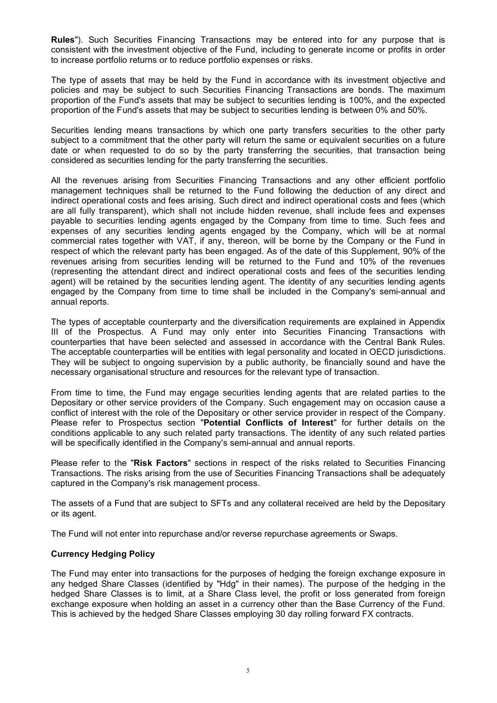**Rules**"). Such Securities Financing Transactions may be entered into for any purpose that is consistent with the investment objective of the Fund, including to generate income or profits in order to increase portfolio returns or to reduce portfolio expenses or risks.

The type of assets that may be held by the Fund in accordance with its investment objective and policies and may be subject to such Securities Financing Transactions are bonds. The maximum proportion of the Fund's assets that may be subject to securities lending is 100%, and the expected proportion of the Fund's assets that may be subject to securities lending is between 0% and 50%.

Securities lending means transactions by which one party transfers securities to the other party subject to a commitment that the other party will return the same or equivalent securities on a future date or when requested to do so by the party transferring the securities, that transaction being considered as securities lending for the party transferring the securities.

All the revenues arising from Securities Financing Transactions and any other efficient portfolio management techniques shall be returned to the Fund following the deduction of any direct and indirect operational costs and fees arising. Such direct and indirect operational costs and fees (which are all fully transparent), which shall not include hidden revenue, shall include fees and expenses payable to securities lending agents engaged by the Company from time to time. Such fees and expenses of any securities lending agents engaged by the Company, which will be at normal commercial rates together with VAT, if any, thereon, will be borne by the Company or the Fund in respect of which the relevant party has been engaged. As of the date of this Supplement, 90% of the revenues arising from securities lending will be returned to the Fund and 10% of the revenues (representing the attendant direct and indirect operational costs and fees of the securities lending agent) will be retained by the securities lending agent. The identity of any securities lending agents engaged by the Company from time to time shall be included in the Company's semi-annual and annual reports.

The types of acceptable counterparty and the diversification requirements are explained in Appendix III of the Prospectus. A Fund may only enter into Securities Financing Transactions with counterparties that have been selected and assessed in accordance with the Central Bank Rules. The acceptable counterparties will be entities with legal personality and located in OECD jurisdictions. They will be subject to ongoing supervision by a public authority, be financially sound and have the necessary organisational structure and resources for the relevant type of transaction.

From time to time, the Fund may engage securities lending agents that are related parties to the Depositary or other service providers of the Company. Such engagement may on occasion cause a conflict of interest with the role of the Depositary or other service provider in respect of the Company. Please refer to Prospectus section "**Potential Conflicts of Interest**" for further details on the conditions applicable to any such related party transactions. The identity of any such related parties will be specifically identified in the Company's semi-annual and annual reports.

Please refer to the "**Risk Factors**" sections in respect of the risks related to Securities Financing Transactions. The risks arising from the use of Securities Financing Transactions shall be adequately captured in the Company's risk management process.

The assets of a Fund that are subject to SFTs and any collateral received are held by the Depositary or its agent.

The Fund will not enter into repurchase and/or reverse repurchase agreements or Swaps.

# **Currency Hedging Policy**

The Fund may enter into transactions for the purposes of hedging the foreign exchange exposure in any hedged Share Classes (identified by "Hdg" in their names). The purpose of the hedging in the hedged Share Classes is to limit, at a Share Class level, the profit or loss generated from foreign exchange exposure when holding an asset in a currency other than the Base Currency of the Fund. This is achieved by the hedged Share Classes employing 30 day rolling forward FX contracts.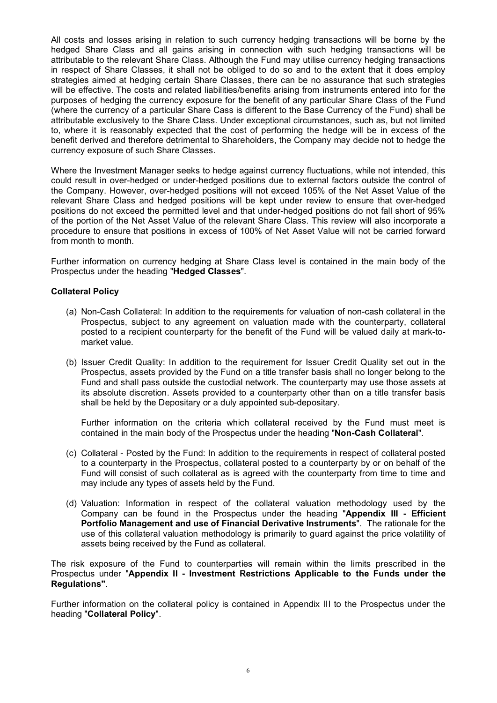All costs and losses arising in relation to such currency hedging transactions will be borne by the hedged Share Class and all gains arising in connection with such hedging transactions will be attributable to the relevant Share Class. Although the Fund may utilise currency hedging transactions in respect of Share Classes, it shall not be obliged to do so and to the extent that it does employ strategies aimed at hedging certain Share Classes, there can be no assurance that such strategies will be effective. The costs and related liabilities/benefits arising from instruments entered into for the purposes of hedging the currency exposure for the benefit of any particular Share Class of the Fund (where the currency of a particular Share Cass is different to the Base Currency of the Fund) shall be attributable exclusively to the Share Class. Under exceptional circumstances, such as, but not limited to, where it is reasonably expected that the cost of performing the hedge will be in excess of the benefit derived and therefore detrimental to Shareholders, the Company may decide not to hedge the currency exposure of such Share Classes.

Where the Investment Manager seeks to hedge against currency fluctuations, while not intended, this could result in over-hedged or under-hedged positions due to external factors outside the control of the Company. However, over-hedged positions will not exceed 105% of the Net Asset Value of the relevant Share Class and hedged positions will be kept under review to ensure that over-hedged positions do not exceed the permitted level and that under-hedged positions do not fall short of 95% of the portion of the Net Asset Value of the relevant Share Class. This review will also incorporate a procedure to ensure that positions in excess of 100% of Net Asset Value will not be carried forward from month to month.

Further information on currency hedging at Share Class level is contained in the main body of the Prospectus under the heading "**Hedged Classes**".

# **Collateral Policy**

- (a) Non-Cash Collateral: In addition to the requirements for valuation of non-cash collateral in the Prospectus, subject to any agreement on valuation made with the counterparty, collateral posted to a recipient counterparty for the benefit of the Fund will be valued daily at mark-tomarket value.
- (b) Issuer Credit Quality: In addition to the requirement for Issuer Credit Quality set out in the Prospectus, assets provided by the Fund on a title transfer basis shall no longer belong to the Fund and shall pass outside the custodial network. The counterparty may use those assets at its absolute discretion. Assets provided to a counterparty other than on a title transfer basis shall be held by the Depositary or a duly appointed sub-depositary.

Further information on the criteria which collateral received by the Fund must meet is contained in the main body of the Prospectus under the heading "**Non-Cash Collateral**".

- (c) Collateral Posted by the Fund: In addition to the requirements in respect of collateral posted to a counterparty in the Prospectus, collateral posted to a counterparty by or on behalf of the Fund will consist of such collateral as is agreed with the counterparty from time to time and may include any types of assets held by the Fund.
- (d) Valuation: Information in respect of the collateral valuation methodology used by the Company can be found in the Prospectus under the heading "**Appendix III - Efficient Portfolio Management and use of Financial Derivative Instruments**". The rationale for the use of this collateral valuation methodology is primarily to guard against the price volatility of assets being received by the Fund as collateral.

The risk exposure of the Fund to counterparties will remain within the limits prescribed in the Prospectus under "**Appendix II - Investment Restrictions Applicable to the Funds under the Regulations"**.

Further information on the collateral policy is contained in Appendix III to the Prospectus under the heading "**Collateral Policy**".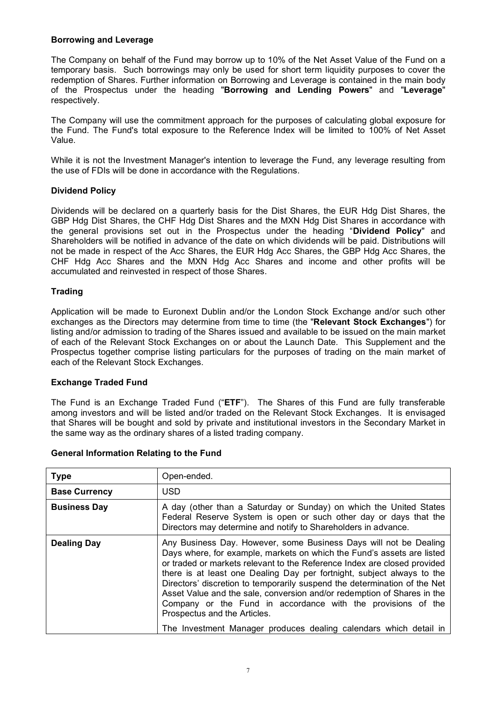# **Borrowing and Leverage**

The Company on behalf of the Fund may borrow up to 10% of the Net Asset Value of the Fund on a temporary basis. Such borrowings may only be used for short term liquidity purposes to cover the redemption of Shares. Further information on Borrowing and Leverage is contained in the main body of the Prospectus under the heading "**Borrowing and Lending Powers**" and "**Leverage**" respectively.

The Company will use the commitment approach for the purposes of calculating global exposure for the Fund. The Fund's total exposure to the Reference Index will be limited to 100% of Net Asset Value.

While it is not the Investment Manager's intention to leverage the Fund, any leverage resulting from the use of FDIs will be done in accordance with the Regulations.

# **Dividend Policy**

Dividends will be declared on a quarterly basis for the Dist Shares, the EUR Hdg Dist Shares, the GBP Hdg Dist Shares, the CHF Hdg Dist Shares and the MXN Hdg Dist Shares in accordance with the general provisions set out in the Prospectus under the heading "**Dividend Policy**" and Shareholders will be notified in advance of the date on which dividends will be paid. Distributions will not be made in respect of the Acc Shares, the EUR Hdg Acc Shares, the GBP Hdg Acc Shares, the CHF Hdg Acc Shares and the MXN Hdg Acc Shares and income and other profits will be accumulated and reinvested in respect of those Shares.

# **Trading**

Application will be made to Euronext Dublin and/or the London Stock Exchange and/or such other exchanges as the Directors may determine from time to time (the "**Relevant Stock Exchanges**") for listing and/or admission to trading of the Shares issued and available to be issued on the main market of each of the Relevant Stock Exchanges on or about the Launch Date. This Supplement and the Prospectus together comprise listing particulars for the purposes of trading on the main market of each of the Relevant Stock Exchanges.

# **Exchange Traded Fund**

The Fund is an Exchange Traded Fund ("**ETF**"). The Shares of this Fund are fully transferable among investors and will be listed and/or traded on the Relevant Stock Exchanges. It is envisaged that Shares will be bought and sold by private and institutional investors in the Secondary Market in the same way as the ordinary shares of a listed trading company.

| <b>Type</b>          | Open-ended.                                                                                                                                                                                                                                                                                                                                                                                                                                                                                                                                                                                                                    |
|----------------------|--------------------------------------------------------------------------------------------------------------------------------------------------------------------------------------------------------------------------------------------------------------------------------------------------------------------------------------------------------------------------------------------------------------------------------------------------------------------------------------------------------------------------------------------------------------------------------------------------------------------------------|
| <b>Base Currency</b> | <b>USD</b>                                                                                                                                                                                                                                                                                                                                                                                                                                                                                                                                                                                                                     |
| <b>Business Day</b>  | A day (other than a Saturday or Sunday) on which the United States<br>Federal Reserve System is open or such other day or days that the<br>Directors may determine and notify to Shareholders in advance.                                                                                                                                                                                                                                                                                                                                                                                                                      |
| <b>Dealing Day</b>   | Any Business Day. However, some Business Days will not be Dealing<br>Days where, for example, markets on which the Fund's assets are listed<br>or traded or markets relevant to the Reference Index are closed provided<br>there is at least one Dealing Day per fortnight, subject always to the<br>Directors' discretion to temporarily suspend the determination of the Net<br>Asset Value and the sale, conversion and/or redemption of Shares in the<br>Company or the Fund in accordance with the provisions of the<br>Prospectus and the Articles.<br>The Investment Manager produces dealing calendars which detail in |

# **General Information Relating to the Fund**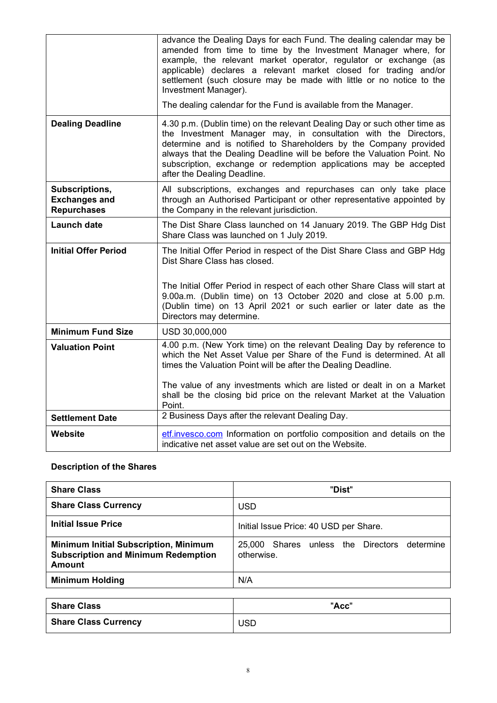|                                                              | advance the Dealing Days for each Fund. The dealing calendar may be<br>amended from time to time by the Investment Manager where, for<br>example, the relevant market operator, regulator or exchange (as<br>applicable) declares a relevant market closed for trading and/or<br>settlement (such closure may be made with little or no notice to the<br>Investment Manager).                    |
|--------------------------------------------------------------|--------------------------------------------------------------------------------------------------------------------------------------------------------------------------------------------------------------------------------------------------------------------------------------------------------------------------------------------------------------------------------------------------|
|                                                              | The dealing calendar for the Fund is available from the Manager.                                                                                                                                                                                                                                                                                                                                 |
| <b>Dealing Deadline</b>                                      | 4.30 p.m. (Dublin time) on the relevant Dealing Day or such other time as<br>the Investment Manager may, in consultation with the Directors,<br>determine and is notified to Shareholders by the Company provided<br>always that the Dealing Deadline will be before the Valuation Point. No<br>subscription, exchange or redemption applications may be accepted<br>after the Dealing Deadline. |
| Subscriptions,<br><b>Exchanges and</b><br><b>Repurchases</b> | All subscriptions, exchanges and repurchases can only take place<br>through an Authorised Participant or other representative appointed by<br>the Company in the relevant jurisdiction.                                                                                                                                                                                                          |
| <b>Launch date</b>                                           | The Dist Share Class launched on 14 January 2019. The GBP Hdg Dist<br>Share Class was launched on 1 July 2019.                                                                                                                                                                                                                                                                                   |
| <b>Initial Offer Period</b>                                  | The Initial Offer Period in respect of the Dist Share Class and GBP Hdg<br>Dist Share Class has closed.                                                                                                                                                                                                                                                                                          |
|                                                              | The Initial Offer Period in respect of each other Share Class will start at<br>9.00a.m. (Dublin time) on 13 October 2020 and close at 5.00 p.m.<br>(Dublin time) on 13 April 2021 or such earlier or later date as the<br>Directors may determine.                                                                                                                                               |
| <b>Minimum Fund Size</b>                                     | USD 30,000,000                                                                                                                                                                                                                                                                                                                                                                                   |
| <b>Valuation Point</b>                                       | 4.00 p.m. (New York time) on the relevant Dealing Day by reference to<br>which the Net Asset Value per Share of the Fund is determined. At all<br>times the Valuation Point will be after the Dealing Deadline.                                                                                                                                                                                  |
|                                                              | The value of any investments which are listed or dealt in on a Market<br>shall be the closing bid price on the relevant Market at the Valuation<br>Point.                                                                                                                                                                                                                                        |
| <b>Settlement Date</b>                                       | 2 Business Days after the relevant Dealing Day.                                                                                                                                                                                                                                                                                                                                                  |
| <b>Website</b>                                               | etf.invesco.com Information on portfolio composition and details on the<br>indicative net asset value are set out on the Website.                                                                                                                                                                                                                                                                |

# **Description of the Shares**

| <b>Share Class</b>                                                                                          | "Dist"                                                        |
|-------------------------------------------------------------------------------------------------------------|---------------------------------------------------------------|
| <b>Share Class Currency</b>                                                                                 | <b>USD</b>                                                    |
| <b>Initial Issue Price</b>                                                                                  | Initial Issue Price: 40 USD per Share.                        |
| <b>Minimum Initial Subscription, Minimum</b><br><b>Subscription and Minimum Redemption</b><br><b>Amount</b> | Shares unless the Directors determine<br>25.000<br>otherwise. |
| <b>Minimum Holding</b>                                                                                      | N/A                                                           |

| <b>Share Class</b>          | "Acc" |
|-----------------------------|-------|
| <b>Share Class Currency</b> | USD   |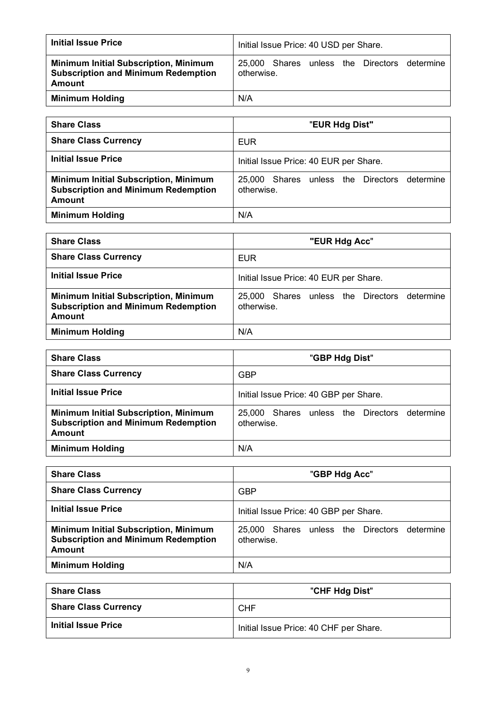| <b>Initial Issue Price</b>                                                                           | Initial Issue Price: 40 USD per Share.                        |  |  |
|------------------------------------------------------------------------------------------------------|---------------------------------------------------------------|--|--|
| <b>Minimum Initial Subscription, Minimum</b><br><b>Subscription and Minimum Redemption</b><br>Amount | Shares unless the Directors determine<br>25.000<br>otherwise. |  |  |
| <b>Minimum Holding</b>                                                                               | N/A                                                           |  |  |

| <b>Share Class</b>                                                                                          | "EUR Hdg Dist"                                             |
|-------------------------------------------------------------------------------------------------------------|------------------------------------------------------------|
| <b>Share Class Currency</b>                                                                                 | <b>EUR</b>                                                 |
| Initial Issue Price                                                                                         | Initial Issue Price: 40 EUR per Share.                     |
| <b>Minimum Initial Subscription, Minimum</b><br><b>Subscription and Minimum Redemption</b><br><b>Amount</b> | 25,000 Shares unless the Directors determine<br>otherwise. |
| <b>Minimum Holding</b>                                                                                      | N/A                                                        |

| <b>Share Class</b>                                                                                          | "EUR Hdg Acc"                                                    |
|-------------------------------------------------------------------------------------------------------------|------------------------------------------------------------------|
| <b>Share Class Currency</b>                                                                                 | <b>EUR</b>                                                       |
| <b>Initial Issue Price</b>                                                                                  | Initial Issue Price: 40 EUR per Share.                           |
| <b>Minimum Initial Subscription, Minimum</b><br><b>Subscription and Minimum Redemption</b><br><b>Amount</b> | Shares unless the Directors<br>determine<br>25.000<br>otherwise. |
| <b>Minimum Holding</b>                                                                                      | N/A                                                              |

| <b>Share Class</b>                                                                                          | "GBP Hdg Dist"                                             |
|-------------------------------------------------------------------------------------------------------------|------------------------------------------------------------|
| <b>Share Class Currency</b>                                                                                 | <b>GBP</b>                                                 |
| <b>Initial Issue Price</b>                                                                                  | Initial Issue Price: 40 GBP per Share.                     |
| <b>Minimum Initial Subscription, Minimum</b><br><b>Subscription and Minimum Redemption</b><br><b>Amount</b> | 25,000 Shares unless the Directors determine<br>otherwise. |
| <b>Minimum Holding</b>                                                                                      | N/A                                                        |

| <b>Share Class</b>                                                                                          | "GBP Hdg Acc"                                                 |
|-------------------------------------------------------------------------------------------------------------|---------------------------------------------------------------|
| <b>Share Class Currency</b>                                                                                 | <b>GBP</b>                                                    |
| <b>Initial Issue Price</b>                                                                                  | Initial Issue Price: 40 GBP per Share.                        |
| <b>Minimum Initial Subscription, Minimum</b><br><b>Subscription and Minimum Redemption</b><br><b>Amount</b> | 25,000 Shares unless the Directors<br>determine<br>otherwise. |
| <b>Minimum Holding</b>                                                                                      | N/A                                                           |

| <b>Share Class</b>          | "CHF Hdg Dist"                         |
|-----------------------------|----------------------------------------|
| <b>Share Class Currency</b> | <b>CHF</b>                             |
| <b>Initial Issue Price</b>  | Initial Issue Price: 40 CHF per Share. |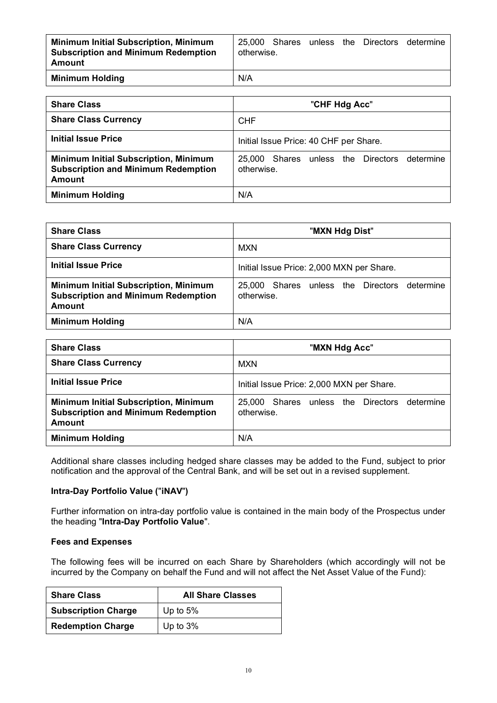| <b>Minimum Initial Subscription, Minimum</b><br><b>Subscription and Minimum Redemption</b><br>Amount | 25.000<br>otherwise. | Shares |  | unless the Directors | determine |
|------------------------------------------------------------------------------------------------------|----------------------|--------|--|----------------------|-----------|
| <b>Minimum Holding</b>                                                                               | N/A                  |        |  |                      |           |

| <b>Share Class</b>                                                                                          | "CHF Hdg Acc"                                              |
|-------------------------------------------------------------------------------------------------------------|------------------------------------------------------------|
| <b>Share Class Currency</b>                                                                                 | <b>CHF</b>                                                 |
| Initial Issue Price                                                                                         | Initial Issue Price: 40 CHF per Share.                     |
| <b>Minimum Initial Subscription, Minimum</b><br><b>Subscription and Minimum Redemption</b><br><b>Amount</b> | 25,000 Shares unless the Directors determine<br>otherwise. |
| <b>Minimum Holding</b>                                                                                      | N/A                                                        |

| <b>Share Class</b>                                                                                          | "MXN Hdg Dist"                                                      |
|-------------------------------------------------------------------------------------------------------------|---------------------------------------------------------------------|
| <b>Share Class Currency</b>                                                                                 | <b>MXN</b>                                                          |
| <b>Initial Issue Price</b>                                                                                  | Initial Issue Price: 2,000 MXN per Share.                           |
| <b>Minimum Initial Subscription, Minimum</b><br><b>Subscription and Minimum Redemption</b><br><b>Amount</b> | determine<br>Shares<br>unless the Directors<br>25.000<br>otherwise. |
| <b>Minimum Holding</b>                                                                                      | N/A                                                                 |

| <b>Share Class</b>                                                                                          | "MXN Hdg Acc"                                                    |
|-------------------------------------------------------------------------------------------------------------|------------------------------------------------------------------|
| <b>Share Class Currency</b>                                                                                 | <b>MXN</b>                                                       |
| <b>Initial Issue Price</b>                                                                                  | Initial Issue Price: 2,000 MXN per Share.                        |
| <b>Minimum Initial Subscription, Minimum</b><br><b>Subscription and Minimum Redemption</b><br><b>Amount</b> | determine<br>Shares unless the Directors<br>25.000<br>otherwise. |
| <b>Minimum Holding</b>                                                                                      | N/A                                                              |

Additional share classes including hedged share classes may be added to the Fund, subject to prior notification and the approval of the Central Bank, and will be set out in a revised supplement.

# **Intra-Day Portfolio Value (**"**iNAV**"**)**

Further information on intra-day portfolio value is contained in the main body of the Prospectus under the heading "**Intra-Day Portfolio Value**".

#### **Fees and Expenses**

The following fees will be incurred on each Share by Shareholders (which accordingly will not be incurred by the Company on behalf the Fund and will not affect the Net Asset Value of the Fund):

| <b>Share Class</b>         | <b>All Share Classes</b> |
|----------------------------|--------------------------|
| <b>Subscription Charge</b> | Up to $5%$               |
| <b>Redemption Charge</b>   | Up to $3%$               |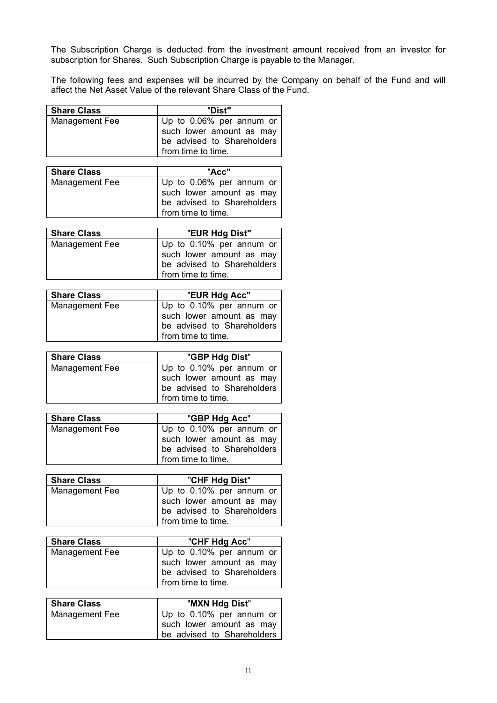The Subscription Charge is deducted from the investment amount received from an investor for subscription for Shares. Such Subscription Charge is payable to the Manager.

The following fees and expenses will be incurred by the Company on behalf of the Fund and will affect the Net Asset Value of the relevant Share Class of the Fund.

| <b>Share Class</b> | "Dist"                                                                                                   |
|--------------------|----------------------------------------------------------------------------------------------------------|
| Management Fee     | Up to 0.06% per annum or<br>such lower amount as may<br>be advised to Shareholders<br>from time to time. |
| <b>Share Class</b> | "Acc"                                                                                                    |
| Management Fee     | Up to 0.06% per annum or<br>such lower amount as may<br>be advised to Shareholders<br>from time to time. |

| <b>Share Class</b> | "EUR Hdg Dist"                                                                                           |
|--------------------|----------------------------------------------------------------------------------------------------------|
| Management Fee     | Up to 0.10% per annum or<br>such lower amount as may<br>be advised to Shareholders<br>from time to time. |

| <b>Share Class</b> | "EUR Hdg Acc"                                                                                            |
|--------------------|----------------------------------------------------------------------------------------------------------|
| Management Fee     | Up to 0.10% per annum or<br>such lower amount as may<br>be advised to Shareholders<br>from time to time. |

| <b>Share Class</b> | "GBP Hdg Dist"                                                                                           |
|--------------------|----------------------------------------------------------------------------------------------------------|
| Management Fee     | Up to 0.10% per annum or<br>such lower amount as may<br>be advised to Shareholders<br>from time to time. |

| <b>Share Class</b> | "GBP Hdg Acc"                                                                                            |
|--------------------|----------------------------------------------------------------------------------------------------------|
| Management Fee     | Up to 0.10% per annum or<br>such lower amount as may<br>be advised to Shareholders<br>from time to time. |

| <b>Share Class</b> | "CHF Hdg Dist"                                                                                           |
|--------------------|----------------------------------------------------------------------------------------------------------|
| Management Fee     | Up to 0.10% per annum or<br>such lower amount as may<br>be advised to Shareholders<br>from time to time. |

| <b>Share Class</b> | "CHF Hdg Acc"                                                                                            |
|--------------------|----------------------------------------------------------------------------------------------------------|
| Management Fee     | Up to 0.10% per annum or<br>such lower amount as may<br>be advised to Shareholders<br>from time to time. |

| <b>Share Class</b> | "MXN Hdg Dist"                                                                     |
|--------------------|------------------------------------------------------------------------------------|
| Management Fee     | Up to 0.10% per annum or<br>such lower amount as may<br>be advised to Shareholders |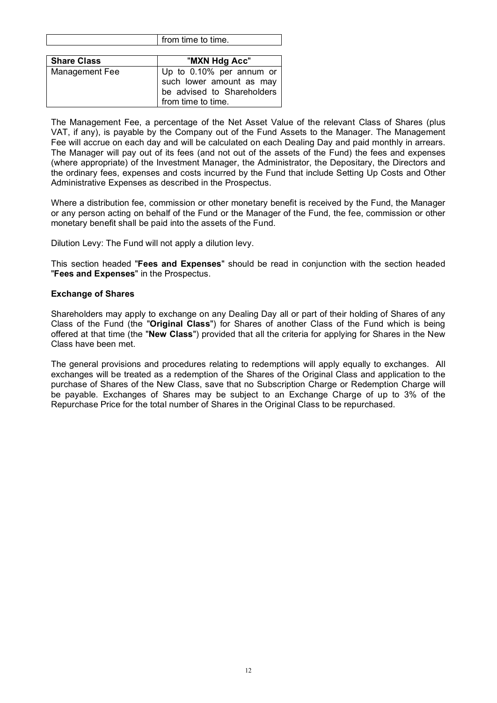|                    | $11 \cup 111$ the contribution of $10 \cup 111$                                                          |
|--------------------|----------------------------------------------------------------------------------------------------------|
|                    |                                                                                                          |
| <b>Share Class</b> | "MXN Hdg Acc"                                                                                            |
| Management Fee     | Up to 0.10% per annum or<br>such lower amount as may<br>be advised to Shareholders<br>from time to time. |

from time to time

The Management Fee, a percentage of the Net Asset Value of the relevant Class of Shares (plus VAT, if any), is payable by the Company out of the Fund Assets to the Manager. The Management Fee will accrue on each day and will be calculated on each Dealing Day and paid monthly in arrears. The Manager will pay out of its fees (and not out of the assets of the Fund) the fees and expenses (where appropriate) of the Investment Manager, the Administrator, the Depositary, the Directors and the ordinary fees, expenses and costs incurred by the Fund that include Setting Up Costs and Other Administrative Expenses as described in the Prospectus.

Where a distribution fee, commission or other monetary benefit is received by the Fund, the Manager or any person acting on behalf of the Fund or the Manager of the Fund, the fee, commission or other monetary benefit shall be paid into the assets of the Fund.

Dilution Levy: The Fund will not apply a dilution levy.

This section headed "**Fees and Expenses**" should be read in conjunction with the section headed "**Fees and Expenses**" in the Prospectus.

# **Exchange of Shares**

Shareholders may apply to exchange on any Dealing Day all or part of their holding of Shares of any Class of the Fund (the "**Original Class**") for Shares of another Class of the Fund which is being offered at that time (the "**New Class**") provided that all the criteria for applying for Shares in the New Class have been met.

The general provisions and procedures relating to redemptions will apply equally to exchanges. All exchanges will be treated as a redemption of the Shares of the Original Class and application to the purchase of Shares of the New Class, save that no Subscription Charge or Redemption Charge will be payable. Exchanges of Shares may be subject to an Exchange Charge of up to 3% of the Repurchase Price for the total number of Shares in the Original Class to be repurchased.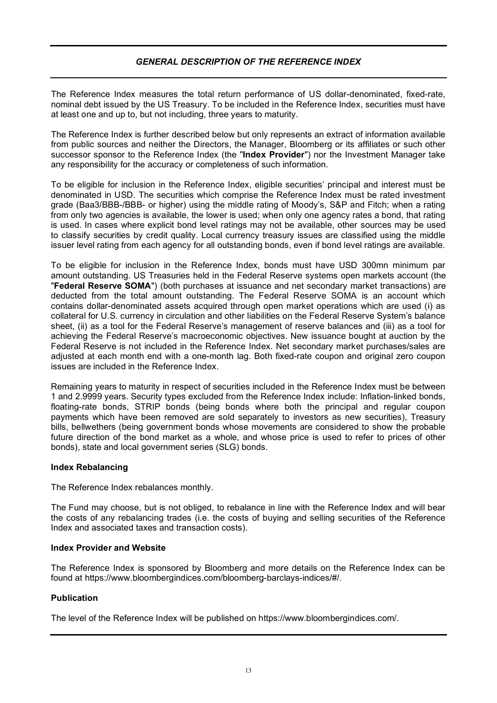# *GENERAL DESCRIPTION OF THE REFERENCE INDEX*

The Reference Index measures the total return performance of US dollar-denominated, fixed-rate, nominal debt issued by the US Treasury. To be included in the Reference Index, securities must have at least one and up to, but not including, three years to maturity.

The Reference Index is further described below but only represents an extract of information available from public sources and neither the Directors, the Manager, Bloomberg or its affiliates or such other successor sponsor to the Reference Index (the "**Index Provider**") nor the Investment Manager take any responsibility for the accuracy or completeness of such information.

To be eligible for inclusion in the Reference Index, eligible securities' principal and interest must be denominated in USD. The securities which comprise the Reference Index must be rated investment grade (Baa3/BBB-/BBB- or higher) using the middle rating of Moody's, S&P and Fitch; when a rating from only two agencies is available, the lower is used; when only one agency rates a bond, that rating is used. In cases where explicit bond level ratings may not be available, other sources may be used to classify securities by credit quality. Local currency treasury issues are classified using the middle issuer level rating from each agency for all outstanding bonds, even if bond level ratings are available.

To be eligible for inclusion in the Reference Index, bonds must have USD 300mn minimum par amount outstanding. US Treasuries held in the Federal Reserve systems open markets account (the "**Federal Reserve SOMA**") (both purchases at issuance and net secondary market transactions) are deducted from the total amount outstanding. The Federal Reserve SOMA is an account which contains dollar-denominated assets acquired through open market operations which are used (i) as collateral for U.S. currency in circulation and other liabilities on the Federal Reserve System's balance sheet, (ii) as a tool for the Federal Reserve's management of reserve balances and (iii) as a tool for achieving the Federal Reserve's macroeconomic objectives. New issuance bought at auction by the Federal Reserve is not included in the Reference Index. Net secondary market purchases/sales are adjusted at each month end with a one-month lag. Both fixed-rate coupon and original zero coupon issues are included in the Reference Index.

Remaining years to maturity in respect of securities included in the Reference Index must be between 1 and 2.9999 years. Security types excluded from the Reference Index include: Inflation-linked bonds, floating-rate bonds, STRIP bonds (being bonds where both the principal and regular coupon payments which have been removed are sold separately to investors as new securities), Treasury bills, bellwethers (being government bonds whose movements are considered to show the probable future direction of the bond market as a whole, and whose price is used to refer to prices of other bonds), state and local government series (SLG) bonds.

# **Index Rebalancing**

The Reference Index rebalances monthly.

The Fund may choose, but is not obliged, to rebalance in line with the Reference Index and will bear the costs of any rebalancing trades (i.e. the costs of buying and selling securities of the Reference Index and associated taxes and transaction costs).

# **Index Provider and Website**

The Reference Index is sponsored by Bloomberg and more details on the Reference Index can be found at https://www.bloombergindices.com/bloomberg-barclays-indices/#/.

# **Publication**

The level of the Reference Index will be published on https://www.bloombergindices.com/.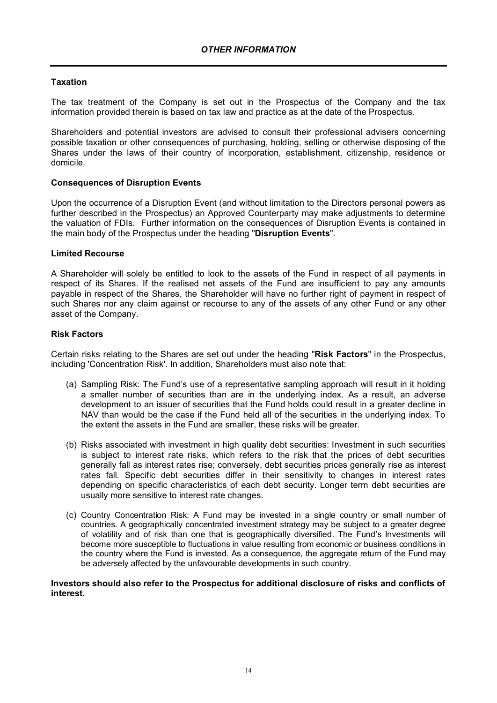# **Taxation**

The tax treatment of the Company is set out in the Prospectus of the Company and the tax information provided therein is based on tax law and practice as at the date of the Prospectus.

Shareholders and potential investors are advised to consult their professional advisers concerning possible taxation or other consequences of purchasing, holding, selling or otherwise disposing of the Shares under the laws of their country of incorporation, establishment, citizenship, residence or domicile.

# **Consequences of Disruption Events**

Upon the occurrence of a Disruption Event (and without limitation to the Directors personal powers as further described in the Prospectus) an Approved Counterparty may make adjustments to determine the valuation of FDIs. Further information on the consequences of Disruption Events is contained in the main body of the Prospectus under the heading "**Disruption Events**".

#### **Limited Recourse**

A Shareholder will solely be entitled to look to the assets of the Fund in respect of all payments in respect of its Shares. If the realised net assets of the Fund are insufficient to pay any amounts payable in respect of the Shares, the Shareholder will have no further right of payment in respect of such Shares nor any claim against or recourse to any of the assets of any other Fund or any other asset of the Company.

#### **Risk Factors**

Certain risks relating to the Shares are set out under the heading "**Risk Factors**" in the Prospectus, including 'Concentration Risk'. In addition, Shareholders must also note that:

- (a) Sampling Risk: The Fund's use of a representative sampling approach will result in it holding a smaller number of securities than are in the underlying index. As a result, an adverse development to an issuer of securities that the Fund holds could result in a greater decline in NAV than would be the case if the Fund held all of the securities in the underlying index. To the extent the assets in the Fund are smaller, these risks will be greater.
- (b) Risks associated with investment in high quality debt securities: Investment in such securities is subject to interest rate risks, which refers to the risk that the prices of debt securities generally fall as interest rates rise; conversely, debt securities prices generally rise as interest rates fall. Specific debt securities differ in their sensitivity to changes in interest rates depending on specific characteristics of each debt security. Longer term debt securities are usually more sensitive to interest rate changes.
- (c) Country Concentration Risk: A Fund may be invested in a single country or small number of countries. A geographically concentrated investment strategy may be subject to a greater degree of volatility and of risk than one that is geographically diversified. The Fund's Investments will become more susceptible to fluctuations in value resulting from economic or business conditions in the country where the Fund is invested. As a consequence, the aggregate return of the Fund may be adversely affected by the unfavourable developments in such country.

#### **Investors should also refer to the Prospectus for additional disclosure of risks and conflicts of interest.**